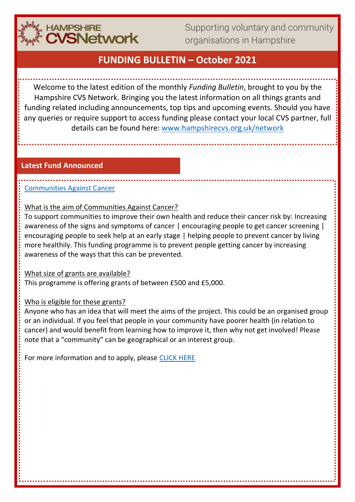

Supporting voluntary and community organisations in Hampshire

# **FUNDING BULLETIN – October 2021**

Welcome to the latest edition of the monthly *Funding Bulletin*, brought to you by the Hampshire CVS Network. Bringing you the latest information on all things grants and funding related including announcements, top tips and upcoming events. Should you have any queries or require support to access funding please contact your local CVS partner, full details can be found here: [www.hampshirecvs.org.uk/network](http://www.hampshirecvs.org.uk/network)

### **Latest Fund Announced**

## [Communities Against Cancer](https://actionhampshire.org/what-we-do/projects/communities-against-cancer/)

What is the aim of Communities Against Cancer?

To support communities to improve their own health and reduce their cancer risk by: Increasing awareness of the signs and symptoms of cancer | encouraging people to get cancer screening | encouraging people to seek help at an early stage | helping people to prevent cancer by living more healthily. This funding programme is to prevent people getting cancer by increasing awareness of the ways that this can be prevented.

## What size of grants are available?

This programme is offering grants of between £500 and £5,000.

## Who is eligible for these grants?

Anyone who has an idea that will meet the aims of the project. This could be an organised group or an individual. If you feel that people in your community have poorer health (in relation to cancer) and would benefit from learning how to improve it, then why not get involved! Please note that a "community" can be geographical or an interest group.

For more information and to apply, please [CLICK HERE](https://actionhampshire.org/what-we-do/projects/communities-against-cancer/)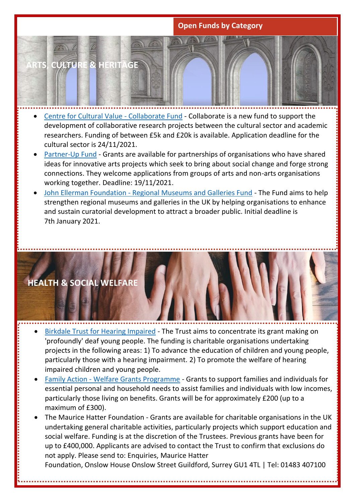## **Open Funds by Category**



- [Centre for Cultural Value -](https://www.culturalvalue.org.uk/collaborate-fund/) Collaborate Fund Collaborate is a new fund to support the development of collaborative research projects between the cultural sector and academic researchers. Funding of between £5k and £20k is available. Application deadline for the cultural sector is 24/11/2021.
- [Partner-Up Fund](https://www.wetakenote.org/partner-up) Grants are available for partnerships of organisations who have shared ideas for innovative arts projects which seek to bring about social change and forge strong connections. They welcome applications from groups of arts and non-arts organisations working together. Deadline: 19/11/2021.
- John Ellerman Foundation [Regional Museums and Galleries Fund](https://ellerman.org.uk/apply-for-funding/museums-and-galleries-fund) The Fund aims to help strengthen regional museums and galleries in the UK by helping organisations to enhance and sustain curatorial development to attract a broader public. Initial deadline is 7th January 2021.



- [Birkdale Trust for Hearing Impaired](http://www.grantsforthedeaf.co.uk/) The Trust aims to concentrate its grant making on 'profoundly' deaf young people. The funding is charitable organisations undertaking projects in the following areas: 1) To advance the education of children and young people, particularly those with a hearing impairment. 2) To promote the welfare of hearing impaired children and young people.
- Family Action [Welfare Grants Programme](https://www.family-action.org.uk/what-we-do/grants/welfare-grants/) Grants to support families and individuals for essential personal and household needs to assist families and individuals with low incomes, particularly those living on benefits. Grants will be for approximately £200 (up to a maximum of £300).
- The Maurice Hatter Foundation Grants are available for charitable organisations in the UK undertaking general charitable activities, particularly projects which support education and social welfare. Funding is at the discretion of the Trustees. Previous grants have been for up to £400,000. Applicants are advised to contact the Trust to confirm that exclusions do not apply. Please send to: Enquiries, Maurice Hatter

Foundation, Onslow House Onslow Street Guildford, Surrey GU1 4TL | Tel: 01483 407100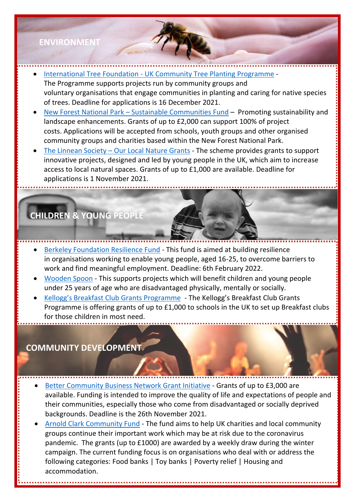# **ENVIRONMENT**

- **[International Tree Foundation -](https://internationaltreefoundation.org/uk-community-tree-planting/) UK Community Tree Planting Programme** The Programme supports projects run by community groups and voluntary organisations that engage communities in planting and caring for native species of trees. Deadline for applications is 16 December 2021.
- New Forest National Park [Sustainable Communities Fund](https://www.newforestnpa.gov.uk/communities/grants/) Promoting sustainability and landscape enhancements. Grants of up to £2,000 can support 100% of project costs. Applications will be accepted from schools, youth groups and other organised community groups and charities based within the New Forest National Park.
- The Linnean Society [Our Local Nature Grants](https://www.linnean.org/the-society/medals-awards-prizes-grants/our-local-nature-grants) The scheme provides grants to support innovative projects, designed and led by young people in the UK, which aim to increase access to local natural spaces. Grants of up to £1,000 are available. Deadline for applications is 1 November 2021.

# **CHILDREN & YOUNG PEOPLE**

- [Berkeley Foundation Resilience Fund](https://www.berkeleyfoundation.org.uk/grants) This fund is aimed at building resilience in organisations working to enable young people, aged 16-25, to overcome barriers to work and find meaningful employment. Deadline: 6th February 2022.
- [Wooden Spoon](https://woodenspoon.org.uk/) This supports projects which will benefit children and young people under 25 years of age who are disadvantaged physically, mentally or socially.
- [Kellogg's Breakfast Club Grants Programme](https://forevermanchester.com/kelloggs-breakfast-club-programme/) The Kellogg's Breakfast Club Grants Programme is offering grants of up to £1,000 to schools in the UK to set up Breakfast clubs for those children in most need.

# **COMMUNITY DEVELOPMENT**

l

- [Better Community Business Network Grant Initiative](https://bcbn.org.uk/grant-initiative/) Grants of up to £3,000 are available. Funding is intended to improve the quality of life and expectations of people and their communities, especially those who come from disadvantaged or socially deprived backgrounds. Deadline is the 26th November 2021.
- [Arnold Clark Community Fund](https://www.arnoldclark.com/community-fund) The fund aims to help UK charities and local community groups continue their important work which may be at risk due to the coronavirus pandemic. The grants (up to £1000) are awarded by a weekly draw during the winter campaign. The current funding focus is on organisations who deal with or address the following categories: Food banks | Toy banks | Poverty relief | Housing and accommodation.